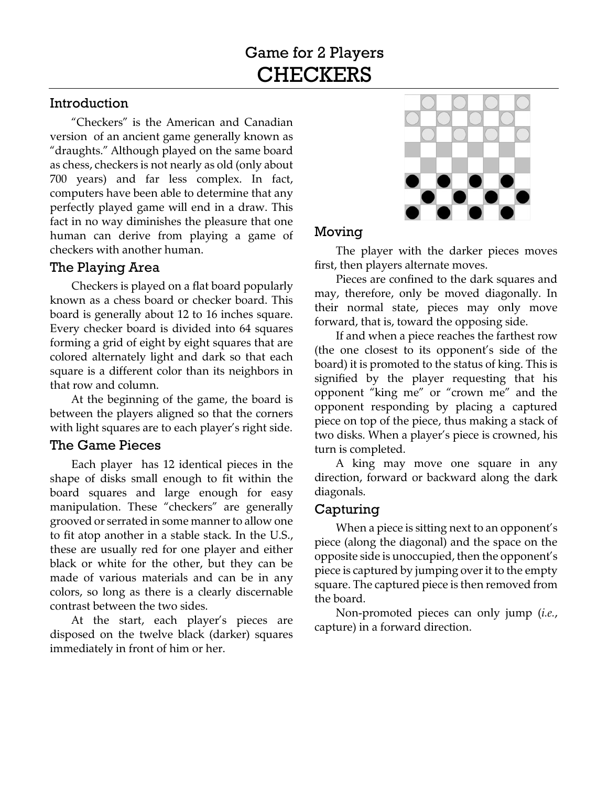# Introduction

"Checkers" is the American and Canadian version of an ancient game generally known as "draughts." Although played on the same board as chess, checkers is not nearly as old (only about 700 years) and far less complex. In fact, computers have been able to determine that any perfectly played game will end in a draw. This fact in no way diminishes the pleasure that one human can derive from playing a game of checkers with another human.

## The Playing Area

Checkers is played on a flat board popularly known as a chess board or checker board. This board is generally about 12 to 16 inches square. Every checker board is divided into 64 squares forming a grid of eight by eight squares that are colored alternately light and dark so that each square is a different color than its neighbors in that row and column.

At the beginning of the game, the board is between the players aligned so that the corners with light squares are to each player's right side.

## The Game Pieces

Each player has 12 identical pieces in the shape of disks small enough to fit within the board squares and large enough for easy manipulation. These "checkers" are generally grooved or serrated in some manner to allow one to fit atop another in a stable stack. In the U.S., these are usually red for one player and either black or white for the other, but they can be made of various materials and can be in any colors, so long as there is a clearly discernable contrast between the two sides.

At the start, each player's pieces are disposed on the twelve black (darker) squares immediately in front of him or her.



## Moving

The player with the darker pieces moves first, then players alternate moves.

Pieces are confined to the dark squares and may, therefore, only be moved diagonally. In their normal state, pieces may only move forward, that is, toward the opposing side.

If and when a piece reaches the farthest row (the one closest to its opponent's side of the board) it is promoted to the status of king. This is signified by the player requesting that his opponent "king me" or "crown me" and the opponent responding by placing a captured piece on top of the piece, thus making a stack of two disks. When a player's piece is crowned, his turn is completed.

A king may move one square in any direction, forward or backward along the dark diagonals.

# Capturing

When a piece is sitting next to an opponent's piece (along the diagonal) and the space on the opposite side is unoccupied, then the opponent's piece is captured by jumping over it to the empty square. The captured piece is then removed from the board.

Non-promoted pieces can only jump (*i.e.*, capture) in a forward direction.